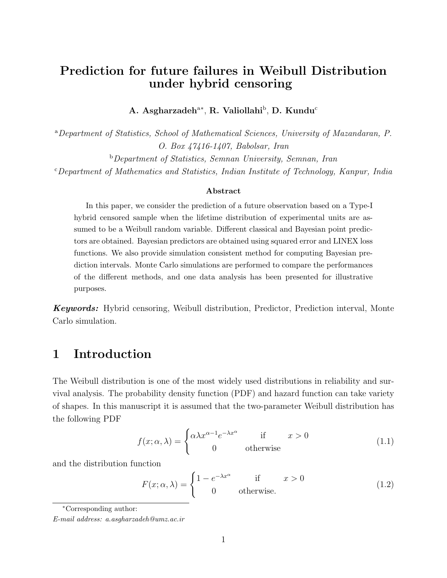# Prediction for future failures in Weibull Distribution under hybrid censoring

A. Asgharzadeh<sup>a∗</sup>, R. Valiollahi<sup>b</sup>, D. Kundu<sup>c</sup>

<sup>a</sup>Department of Statistics, School of Mathematical Sciences, University of Mazandaran, P. O. Box 47416-1407, Babolsar, Iran <sup>b</sup>Department of Statistics, Semnan University, Semnan, Iran  $c$ Department of Mathematics and Statistics, Indian Institute of Technology, Kanpur, India

#### Abstract

In this paper, we consider the prediction of a future observation based on a Type-I hybrid censored sample when the lifetime distribution of experimental units are assumed to be a Weibull random variable. Different classical and Bayesian point predictors are obtained. Bayesian predictors are obtained using squared error and LINEX loss functions. We also provide simulation consistent method for computing Bayesian prediction intervals. Monte Carlo simulations are performed to compare the performances of the different methods, and one data analysis has been presented for illustrative purposes.

Keywords: Hybrid censoring, Weibull distribution, Predictor, Prediction interval, Monte Carlo simulation.

## 1 Introduction

The Weibull distribution is one of the most widely used distributions in reliability and survival analysis. The probability density function (PDF) and hazard function can take variety of shapes. In this manuscript it is assumed that the two-parameter Weibull distribution has the following PDF

$$
f(x; \alpha, \lambda) = \begin{cases} \alpha \lambda x^{\alpha - 1} e^{-\lambda x^{\alpha}} & \text{if } x > 0 \\ 0 & \text{otherwise} \end{cases}
$$
 (1.1)

and the distribution function

$$
F(x; \alpha, \lambda) = \begin{cases} 1 - e^{-\lambda x^{\alpha}} & \text{if } x > 0 \\ 0 & \text{otherwise.} \end{cases}
$$
 (1.2)

<sup>∗</sup>Corresponding author:

E-mail address: a.asgharzadeh@umz.ac.ir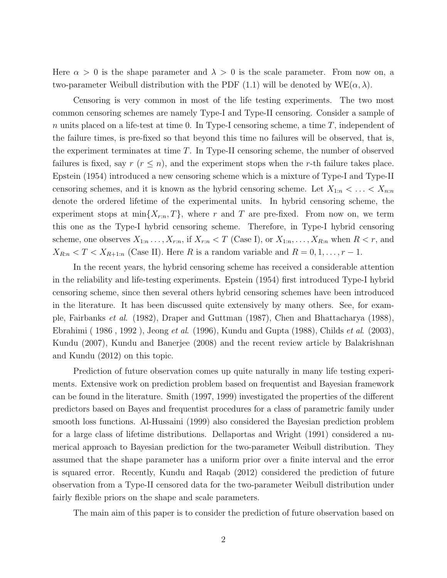Here  $\alpha > 0$  is the shape parameter and  $\lambda > 0$  is the scale parameter. From now on, a two-parameter Weibull distribution with the PDF (1.1) will be denoted by  $WE(\alpha, \lambda)$ .

Censoring is very common in most of the life testing experiments. The two most common censoring schemes are namely Type-I and Type-II censoring. Consider a sample of n units placed on a life-test at time 0. In Type-I censoring scheme, a time  $T$ , independent of the failure times, is pre-fixed so that beyond this time no failures will be observed, that is, the experiment terminates at time T. In Type-II censoring scheme, the number of observed failures is fixed, say  $r (r \leq n)$ , and the experiment stops when the r-th failure takes place. Epstein (1954) introduced a new censoring scheme which is a mixture of Type-I and Type-II censoring schemes, and it is known as the hybrid censoring scheme. Let  $X_{1:n} < \ldots < X_{n:n}$ denote the ordered lifetime of the experimental units. In hybrid censoring scheme, the experiment stops at  $\min\{X_{r:n}, T\}$ , where r and T are pre-fixed. From now on, we term this one as the Type-I hybrid censoring scheme. Therefore, in Type-I hybrid censoring scheme, one observes  $X_{1:n}$ ...,  $X_{r:n}$ , if  $X_{r:n} < T$  (Case I), or  $X_{1:n}, \ldots, X_{R:n}$  when  $R < r$ , and  $X_{R:n} < T < X_{R+1:n}$  (Case II). Here R is a random variable and  $R = 0, 1, \ldots, r-1$ .

In the recent years, the hybrid censoring scheme has received a considerable attention in the reliability and life-testing experiments. Epstein (1954) first introduced Type-I hybrid censoring scheme, since then several others hybrid censoring schemes have been introduced in the literature. It has been discussed quite extensively by many others. See, for example, Fairbanks et al. (1982), Draper and Guttman (1987), Chen and Bhattacharya (1988), Ebrahimi ( 1986 , 1992 ), Jeong et al. (1996), Kundu and Gupta (1988), Childs et al. (2003), Kundu (2007), Kundu and Banerjee (2008) and the recent review article by Balakrishnan and Kundu (2012) on this topic.

Prediction of future observation comes up quite naturally in many life testing experiments. Extensive work on prediction problem based on frequentist and Bayesian framework can be found in the literature. Smith (1997, 1999) investigated the properties of the different predictors based on Bayes and frequentist procedures for a class of parametric family under smooth loss functions. Al-Hussaini (1999) also considered the Bayesian prediction problem for a large class of lifetime distributions. Dellaportas and Wright (1991) considered a numerical approach to Bayesian prediction for the two-parameter Weibull distribution. They assumed that the shape parameter has a uniform prior over a finite interval and the error is squared error. Recently, Kundu and Raqab (2012) considered the prediction of future observation from a Type-II censored data for the two-parameter Weibull distribution under fairly flexible priors on the shape and scale parameters.

The main aim of this paper is to consider the prediction of future observation based on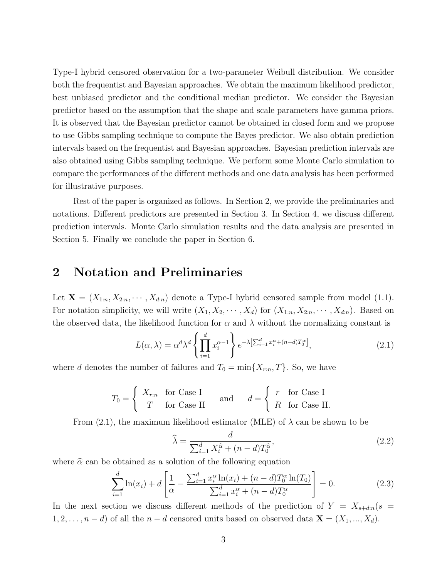Type-I hybrid censored observation for a two-parameter Weibull distribution. We consider both the frequentist and Bayesian approaches. We obtain the maximum likelihood predictor, best unbiased predictor and the conditional median predictor. We consider the Bayesian predictor based on the assumption that the shape and scale parameters have gamma priors. It is observed that the Bayesian predictor cannot be obtained in closed form and we propose to use Gibbs sampling technique to compute the Bayes predictor. We also obtain prediction intervals based on the frequentist and Bayesian approaches. Bayesian prediction intervals are also obtained using Gibbs sampling technique. We perform some Monte Carlo simulation to compare the performances of the different methods and one data analysis has been performed for illustrative purposes.

Rest of the paper is organized as follows. In Section 2, we provide the preliminaries and notations. Different predictors are presented in Section 3. In Section 4, we discuss different prediction intervals. Monte Carlo simulation results and the data analysis are presented in Section 5. Finally we conclude the paper in Section 6.

## 2 Notation and Preliminaries

Let  $\mathbf{X} = (X_{1:n}, X_{2:n}, \dots, X_{d:n})$  denote a Type-I hybrid censored sample from model (1.1). For notation simplicity, we will write  $(X_1, X_2, \cdots, X_d)$  for  $(X_{1:n}, X_{2:n}, \cdots, X_{d:n})$ . Based on the observed data, the likelihood function for  $\alpha$  and  $\lambda$  without the normalizing constant is

$$
L(\alpha, \lambda) = \alpha^d \lambda^d \left\{ \prod_{i=1}^d x_i^{\alpha - 1} \right\} e^{-\lambda \left[ \sum_{i=1}^d x_i^{\alpha} + (n-d)T_0^{\alpha} \right]},
$$
\n(2.1)

where d denotes the number of failures and  $T_0 = \min\{X_{r:n}, T\}$ . So, we have

$$
T_0 = \begin{cases} X_{r:n} & \text{for Case I} \\ T & \text{for Case II} \end{cases} \quad \text{and} \quad d = \begin{cases} r & \text{for Case I} \\ R & \text{for Case II.} \end{cases}
$$

From (2.1), the maximum likelihood estimator (MLE) of  $\lambda$  can be shown to be

$$
\widehat{\lambda} = \frac{d}{\sum_{i=1}^{d} X_i^{\widehat{\alpha}} + (n-d)T_0^{\widehat{\alpha}}},\tag{2.2}
$$

where  $\hat{\alpha}$  can be obtained as a solution of the following equation

$$
\sum_{i=1}^{d} \ln(x_i) + d \left[ \frac{1}{\alpha} - \frac{\sum_{i=1}^{d} x_i^{\alpha} \ln(x_i) + (n - d) T_0^{\alpha} \ln(T_0)}{\sum_{i=1}^{d} x_i^{\alpha} + (n - d) T_0^{\alpha}} \right] = 0.
$$
 (2.3)

In the next section we discuss different methods of the prediction of  $Y = X_{s+*dim*}(s =$  $1, 2, \ldots, n-d$  of all the  $n-d$  censored units based on observed data  $\mathbf{X} = (X_1, ..., X_d)$ .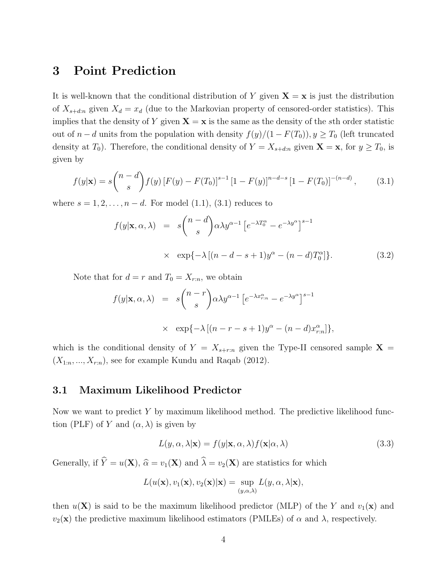## 3 Point Prediction

It is well-known that the conditional distribution of Y given  $X = x$  is just the distribution of  $X_{s+*dim*}$  given  $X_d = x_d$  (due to the Markovian property of censored-order statistics). This implies that the density of Y given  $X = x$  is the same as the density of the sth order statistic out of  $n - d$  units from the population with density  $f(y)/(1 - F(T_0))$ ,  $y \geq T_0$  (left truncated density at  $T_0$ ). Therefore, the conditional density of  $Y = X_{s+1}$  given  $\mathbf{X} = \mathbf{x}$ , for  $y \geq T_0$ , is given by

$$
f(y|\mathbf{x}) = s \binom{n-d}{s} f(y) \left[ F(y) - F(T_0) \right]^{s-1} \left[ 1 - F(y) \right]^{n-d-s} \left[ 1 - F(T_0) \right]^{-(n-d)}, \tag{3.1}
$$

where  $s = 1, 2, \ldots, n - d$ . For model  $(1.1), (3.1)$  reduces to

$$
f(y|\mathbf{x}, \alpha, \lambda) = s \binom{n-d}{s} \alpha \lambda y^{\alpha-1} \left[ e^{-\lambda T_0^{\alpha}} - e^{-\lambda y^{\alpha}} \right]^{s-1}
$$
  
 
$$
\times \exp\{-\lambda \left[ (n-d-s+1) y^{\alpha} - (n-d) T_0^{\alpha} \right] \}. \tag{3.2}
$$

Note that for  $d = r$  and  $T_0 = X_{r:n}$ , we obtain

$$
f(y|\mathbf{x}, \alpha, \lambda) = s {n-r \choose s} \alpha \lambda y^{\alpha-1} \left[ e^{-\lambda x_{r:n}^{\alpha}} - e^{-\lambda y^{\alpha}} \right]^{s-1}
$$
  
 
$$
\times \exp\{-\lambda \left[ (n-r-s+1) y^{\alpha} - (n-d) x_{r:n}^{\alpha} \right] \},
$$

which is the conditional density of  $Y = X_{s+r:n}$  given the Type-II censored sample  $X =$  $(X_{1:n},..., X_{r:n})$ , see for example Kundu and Raqab (2012).

#### 3.1 Maximum Likelihood Predictor

Now we want to predict Y by maximum likelihood method. The predictive likelihood function (PLF) of Y and  $(\alpha, \lambda)$  is given by

$$
L(y, \alpha, \lambda | \mathbf{x}) = f(y | \mathbf{x}, \alpha, \lambda) f(\mathbf{x} | \alpha, \lambda)
$$
\n(3.3)

Generally, if  $\hat{Y} = u(\mathbf{X}), \hat{\alpha} = v_1(\mathbf{X})$  and  $\hat{\lambda} = v_2(\mathbf{X})$  are statistics for which

$$
L(u(\mathbf{x}), v_1(\mathbf{x}), v_2(\mathbf{x})|\mathbf{x}) = \sup_{(y,\alpha,\lambda)} L(y,\alpha,\lambda|\mathbf{x}),
$$

then  $u(\mathbf{X})$  is said to be the maximum likelihood predictor (MLP) of the Y and  $v_1(\mathbf{x})$  and  $v_2(\mathbf{x})$  the predictive maximum likelihood estimators (PMLEs) of  $\alpha$  and  $\lambda$ , respectively.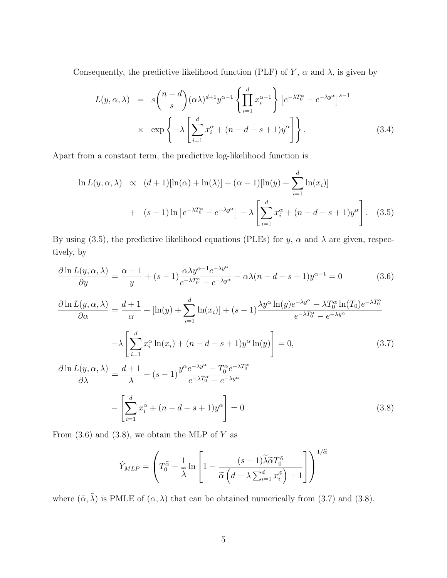Consequently, the predictive likelihood function (PLF) of Y,  $\alpha$  and  $\lambda$ , is given by

$$
L(y, \alpha, \lambda) = s \binom{n-d}{s} (\alpha \lambda)^{d+1} y^{\alpha-1} \left\{ \prod_{i=1}^{d} x_i^{\alpha-1} \right\} \left[ e^{-\lambda T_0^{\alpha}} - e^{-\lambda y^{\alpha}} \right]^{s-1}
$$
  
 
$$
\times \exp \left\{ -\lambda \left[ \sum_{i=1}^{d} x_i^{\alpha} + (n - d - s + 1) y^{\alpha} \right] \right\}.
$$
 (3.4)

Apart from a constant term, the predictive log-likelihood function is

$$
\ln L(y, \alpha, \lambda) \propto (d+1)[\ln(\alpha) + \ln(\lambda)] + (\alpha - 1)[\ln(y) + \sum_{i=1}^{d} \ln(x_i)]
$$
  
+ 
$$
(s-1)\ln[e^{-\lambda T_0^{\alpha}} - e^{-\lambda y^{\alpha}}] - \lambda \left[\sum_{i=1}^{d} x_i^{\alpha} + (n-d-s+1)y^{\alpha}\right].
$$
 (3.5)

By using (3.5), the predictive likelihood equations (PLEs) for y,  $\alpha$  and  $\lambda$  are given, respectively, by

$$
\frac{\partial \ln L(y, \alpha, \lambda)}{\partial y} = \frac{\alpha - 1}{y} + (s - 1) \frac{\alpha \lambda y^{\alpha - 1} e^{-\lambda y^{\alpha}}}{e^{-\lambda T_0^{\alpha}} - e^{-\lambda y^{\alpha}}} - \alpha \lambda (n - d - s + 1) y^{\alpha - 1} = 0
$$
\n(3.6)

$$
\frac{\partial \ln L(y, \alpha, \lambda)}{\partial \alpha} = \frac{d+1}{\alpha} + [\ln(y) + \sum_{i=1}^{d} \ln(x_i)] + (s-1) \frac{\lambda y^{\alpha} \ln(y) e^{-\lambda y^{\alpha}} - \lambda T_0^{\alpha} \ln(T_0) e^{-\lambda T_0^{\alpha}}}{e^{-\lambda T_0^{\alpha}} - e^{-\lambda y^{\alpha}}}
$$

$$
-\lambda \left[ \sum_{i=1}^{d} x_i^{\alpha} \ln(x_i) + (n - d - s + 1) y^{\alpha} \ln(y) \right] = 0,
$$
(3.7)
$$
\frac{\partial \ln L(y, \alpha, \lambda)}{\partial \lambda} = \frac{d+1}{\lambda} + (s-1) \frac{y^{\alpha} e^{-\lambda y^{\alpha}} - T_0^{\alpha} e^{-\lambda T_0^{\alpha}}}{e^{-\lambda T_0^{\alpha}} - e^{-\lambda y^{\alpha}}}
$$

$$
-\left[ \sum_{i=1}^{d} x_i^{\alpha} + (n - d - s + 1) y^{\alpha} \right] = 0
$$
(3.8)

From  $(3.6)$  and  $(3.8)$ , we obtain the MLP of Y as

$$
\hat{Y}_{MLP} = \left( T_0^{\tilde{\alpha}} - \frac{1}{\tilde{\lambda}} \ln \left[ 1 - \frac{(s-1)\tilde{\lambda}\tilde{\alpha}T_0^{\tilde{\alpha}}}{\tilde{\alpha}\left(d - \lambda \sum_{i=1}^d x_i^{\tilde{\alpha}}\right) + 1} \right] \right)^{1/\tilde{\alpha}}
$$

where  $(\tilde{\alpha}, \tilde{\lambda})$  is PMLE of  $(\alpha, \lambda)$  that can be obtained numerically from (3.7) and (3.8).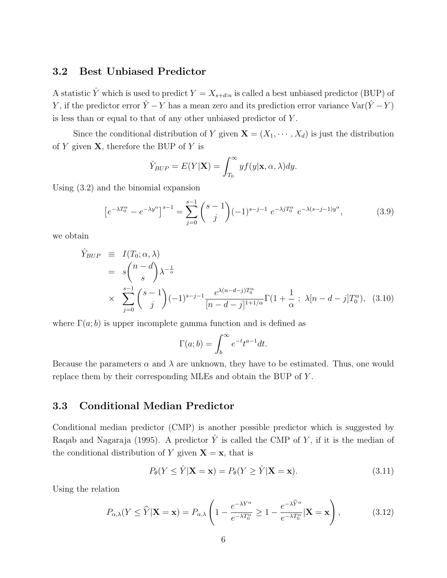#### 3.2 Best Unbiased Predictor

A statistic  $\hat{Y}$  which is used to predict  $Y = X_{s+d:n}$  is called a best unbiased predictor (BUP) of Y, if the predictor error  $\hat{Y} - Y$  has a mean zero and its prediction error variance Var $(\hat{Y} - Y)$ is less than or equal to that of any other unbiased predictor of  $Y$ .

Since the conditional distribution of Y given  $\mathbf{X} = (X_1, \dots, X_d)$  is just the distribution of  $Y$  given  $X$ , therefore the BUP of  $Y$  is

$$
\hat{Y}_{BUP} = E(Y|\mathbf{X}) = \int_{T_0}^{\infty} y f(y|\mathbf{x}, \alpha, \lambda) dy.
$$

Using (3.2) and the binomial expansion

$$
\left[e^{-\lambda T_0^{\alpha}} - e^{-\lambda y^{\alpha}}\right]^{s-1} = \sum_{j=0}^{s-1} {s-1 \choose j} (-1)^{s-j-1} e^{-\lambda j T_0^{\alpha}} e^{-\lambda (s-j-1)y^{\alpha}}, \tag{3.9}
$$

we obtain

$$
\hat{Y}_{BUP} \equiv I(T_0; \alpha, \lambda) \n= s \binom{n - d}{s} \lambda^{-\frac{1}{\alpha}} \n\times \sum_{j=0}^{s-1} \binom{s-1}{j} (-1)^{s-j-1} \frac{e^{\lambda(n-d-j)T_0^{\alpha}}}{[n-d-j]^{1+1/\alpha}} \Gamma(1 + \frac{1}{\alpha} ; \lambda[n-d-j] T_0^{\alpha}), \quad (3.10)
$$

where  $\Gamma(a;b)$  is upper incomplete gamma function and is defined as

$$
\Gamma(a;b) = \int_b^{\infty} e^{-t} t^{a-1} dt.
$$

Because the parameters  $\alpha$  and  $\lambda$  are unknown, they have to be estimated. Thus, one would replace them by their corresponding MLEs and obtain the BUP of Y .

#### 3.3 Conditional Median Predictor

Conditional median predictor (CMP) is another possible predictor which is suggested by Raqab and Nagaraja (1995). A predictor  $\hat{Y}$  is called the CMP of Y, if it is the median of the conditional distribution of Y given  $X = x$ , that is

$$
P_{\theta}(Y \le \hat{Y} | \mathbf{X} = \mathbf{x}) = P_{\theta}(Y \ge \hat{Y} | \mathbf{X} = \mathbf{x}). \tag{3.11}
$$

Using the relation

$$
P_{\alpha,\lambda}(Y \le \widehat{Y} | \mathbf{X} = \mathbf{x}) = P_{\alpha,\lambda} \left( 1 - \frac{e^{-\lambda Y^{\alpha}}}{e^{-\lambda T_0^{\alpha}}} \ge 1 - \frac{e^{-\lambda \widehat{Y}^{\alpha}}}{e^{-\lambda T_0^{\alpha}}} | \mathbf{X} = \mathbf{x} \right),
$$
(3.12)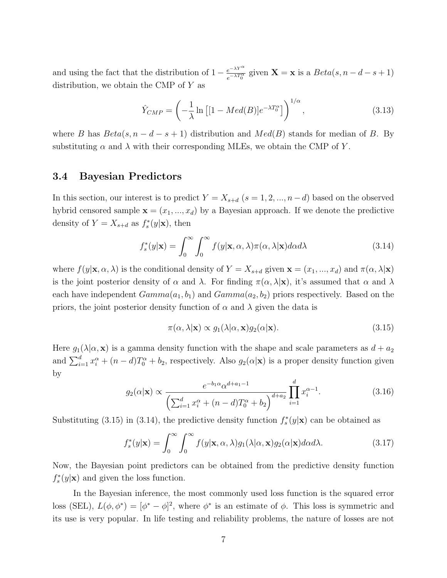and using the fact that the distribution of  $1 - \frac{e^{-\lambda Y^{\alpha}}}{\lambda X^{\alpha}}$  $\frac{e^{-\lambda T}}{e^{-\lambda T_0^{\alpha}}}$  given  $\mathbf{X} = \mathbf{x}$  is a  $Beta(s, n - d - s + 1)$ distribution, we obtain the CMP of  $Y$  as

$$
\hat{Y}_{CMP} = \left(-\frac{1}{\lambda}\ln\left[1 - Med(B)\right]e^{-\lambda T_0^{\alpha}}\right)^{1/\alpha},\tag{3.13}
$$

where B has  $Beta(s, n - d - s + 1)$  distribution and  $Med(B)$  stands for median of B. By substituting  $\alpha$  and  $\lambda$  with their corresponding MLEs, we obtain the CMP of Y.

#### 3.4 Bayesian Predictors

In this section, our interest is to predict  $Y = X_{s+d}$  ( $s = 1, 2, ..., n-d$ ) based on the observed hybrid censored sample  $\mathbf{x} = (x_1, ..., x_d)$  by a Bayesian approach. If we denote the predictive density of  $Y = X_{s+d}$  as  $f_s^*(y|\mathbf{x})$ , then

$$
f_s^*(y|\mathbf{x}) = \int_0^\infty \int_0^\infty f(y|\mathbf{x}, \alpha, \lambda) \pi(\alpha, \lambda|\mathbf{x}) d\alpha d\lambda
$$
 (3.14)

where  $f(y|\mathbf{x}, \alpha, \lambda)$  is the conditional density of  $Y = X_{s+d}$  given  $\mathbf{x} = (x_1, ..., x_d)$  and  $\pi(\alpha, \lambda|\mathbf{x})$ is the joint posterior density of  $\alpha$  and  $\lambda$ . For finding  $\pi(\alpha, \lambda | \mathbf{x})$ , it's assumed that  $\alpha$  and  $\lambda$ each have independent  $Gamma(a_1, b_1)$  and  $Gamma(a_2, b_2)$  priors respectively. Based on the priors, the joint posterior density function of  $\alpha$  and  $\lambda$  given the data is

$$
\pi(\alpha, \lambda | \mathbf{x}) \propto g_1(\lambda | \alpha, \mathbf{x}) g_2(\alpha | \mathbf{x}). \tag{3.15}
$$

Here  $g_1(\lambda|\alpha, \mathbf{x})$  is a gamma density function with the shape and scale parameters as  $d + a_2$ and  $\sum_{i=1}^d x_i^{\alpha} + (n-d)T_0^{\alpha} + b_2$ , respectively. Also  $g_2(\alpha|\mathbf{x})$  is a proper density function given by

$$
g_2(\alpha|\mathbf{x}) \propto \frac{e^{-b_1 \alpha} \alpha^{d+a_1-1}}{\left(\sum_{i=1}^d x_i^{\alpha} + (n-d)T_0^{\alpha} + b_2\right)^{d+a_2}} \prod_{i=1}^d x_i^{\alpha-1}.
$$
 (3.16)

Substituting (3.15) in (3.14), the predictive density function  $f_s^*(y|\mathbf{x})$  can be obtained as

$$
f_s^*(y|\mathbf{x}) = \int_0^\infty \int_0^\infty f(y|\mathbf{x}, \alpha, \lambda) g_1(\lambda|\alpha, \mathbf{x}) g_2(\alpha|\mathbf{x}) d\alpha d\lambda.
$$
 (3.17)

Now, the Bayesian point predictors can be obtained from the predictive density function  $f_s^*(y|\mathbf{x})$  and given the loss function.

In the Bayesian inference, the most commonly used loss function is the squared error loss (SEL),  $L(\phi, \phi^*) = [\phi^* - \phi]^2$ , where  $\phi^*$  is an estimate of  $\phi$ . This loss is symmetric and its use is very popular. In life testing and reliability problems, the nature of losses are not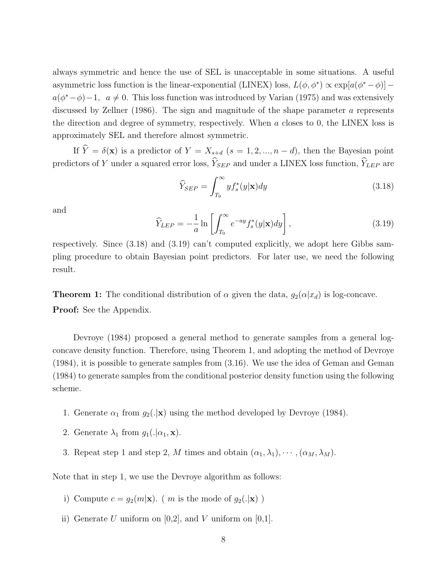always symmetric and hence the use of SEL is unacceptable in some situations. A useful asymmetric loss function is the linear-exponential (LINEX) loss,  $L(\phi, \phi^*) \propto \exp[a(\phi^* - \phi)]$  $a(\phi^*-\phi)-1$ ,  $a \neq 0$ . This loss function was introduced by Varian (1975) and was extensively discussed by Zellner (1986). The sign and magnitude of the shape parameter a represents the direction and degree of symmetry, respectively. When a closes to 0, the LINEX loss is approximately SEL and therefore almost symmetric.

If  $\hat{Y} = \delta(\mathbf{x})$  is a predictor of  $Y = X_{s+d}$  ( $s = 1, 2, ..., n - d$ ), then the Bayesian point predictors of Y under a squared error loss,  $\widehat{Y}_{SEP}$  and under a LINEX loss function,  $\widehat{Y}_{LEP}$  are

$$
\widehat{Y}_{SEP} = \int_{T_0}^{\infty} y f_s^*(y|\mathbf{x}) dy
$$
\n(3.18)

and

$$
\widehat{Y}_{LEP} = -\frac{1}{a} \ln \left[ \int_{T_0}^{\infty} e^{-ay} f_s^*(y|\mathbf{x}) dy \right],
$$
\n(3.19)

respectively. Since (3.18) and (3.19) can't computed explicitly, we adopt here Gibbs sampling procedure to obtain Bayesian point predictors. For later use, we need the following result.

**Theorem 1:** The conditional distribution of  $\alpha$  given the data,  $g_2(\alpha|x_d)$  is log-concave. Proof: See the Appendix.

Devroye (1984) proposed a general method to generate samples from a general logconcave density function. Therefore, using Theorem 1, and adopting the method of Devroye (1984), it is possible to generate samples from (3.16). We use the idea of Geman and Geman (1984) to generate samples from the conditional posterior density function using the following scheme.

- 1. Generate  $\alpha_1$  from  $g_2(.|{\bf x})$  using the method developed by Devroye (1984).
- 2. Generate  $\lambda_1$  from  $g_1(.|\alpha_1, \mathbf{x})$ .
- 3. Repeat step 1 and step 2, M times and obtain  $(\alpha_1, \lambda_1), \cdots, (\alpha_M, \lambda_M)$ .

Note that in step 1, we use the Devroye algorithm as follows:

- i) Compute  $c = g_2(m|\mathbf{x})$ . (*m* is the mode of  $g_2(.|\mathbf{x})$ )
- ii) Generate U uniform on  $[0,2]$ , and V uniform on  $[0,1]$ .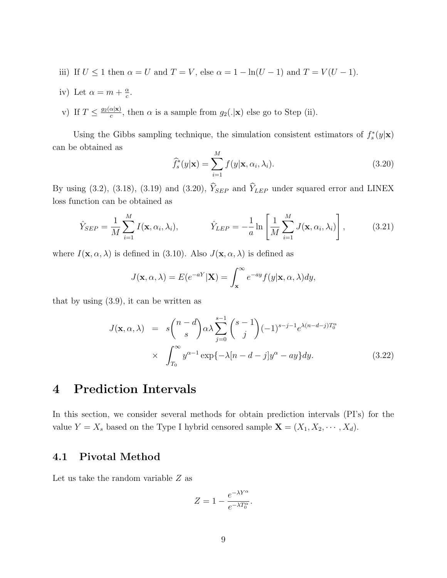- iii) If  $U \le 1$  then  $\alpha = U$  and  $T = V$ , else  $\alpha = 1 \ln(U 1)$  and  $T = V(U 1)$ .
- iv) Let  $\alpha = m + \frac{\alpha}{c}$  $\frac{\alpha}{c}$ .
- v) If  $T \leq \frac{g_2(\alpha|\mathbf{x})}{c}$  $\frac{\alpha(\mathbf{x})}{c}$ , then  $\alpha$  is a sample from  $g_2(.|\mathbf{x})$  else go to Step (ii).

Using the Gibbs sampling technique, the simulation consistent estimators of  $f_s^*(y|\mathbf{x})$ can be obtained as

$$
\widehat{f}_s^*(y|\mathbf{x}) = \sum_{i=1}^M f(y|\mathbf{x}, \alpha_i, \lambda_i).
$$
\n(3.20)

By using (3.2), (3.18), (3.19) and (3.20),  $\hat{Y}_{SEP}$  and  $\hat{Y}_{LEP}$  under squared error and LINEX loss function can be obtained as

$$
\hat{Y}_{SEP} = \frac{1}{M} \sum_{i=1}^{M} I(\mathbf{x}, \alpha_i, \lambda_i), \qquad \hat{Y}_{LEP} = -\frac{1}{a} \ln \left[ \frac{1}{M} \sum_{i=1}^{M} J(\mathbf{x}, \alpha_i, \lambda_i) \right], \qquad (3.21)
$$

where  $I(\mathbf{x}, \alpha, \lambda)$  is defined in (3.10). Also  $J(\mathbf{x}, \alpha, \lambda)$  is defined as

$$
J(\mathbf{x}, \alpha, \lambda) = E(e^{-aY}|\mathbf{X}) = \int_{\mathbf{x}}^{\infty} e^{-ay} f(y|\mathbf{x}, \alpha, \lambda) dy,
$$

that by using (3.9), it can be written as

$$
J(\mathbf{x}, \alpha, \lambda) = s \binom{n-d}{s} \alpha \lambda \sum_{j=0}^{s-1} {s-1 \choose j} (-1)^{s-j-1} e^{\lambda (n-d-j)T_0^{\alpha}}
$$
  
 
$$
\times \int_{T_0}^{\infty} y^{\alpha-1} \exp\{-\lambda [n-d-j]y^{\alpha} - ay\} dy. \tag{3.22}
$$

# 4 Prediction Intervals

In this section, we consider several methods for obtain prediction intervals (PI's) for the value  $Y = X_s$  based on the Type I hybrid censored sample  $\mathbf{X} = (X_1, X_2, \cdots, X_d)$ .

### 4.1 Pivotal Method

Let us take the random variable  $Z$  as

$$
Z = 1 - \frac{e^{-\lambda Y^{\alpha}}}{e^{-\lambda T_0^{\alpha}}}.
$$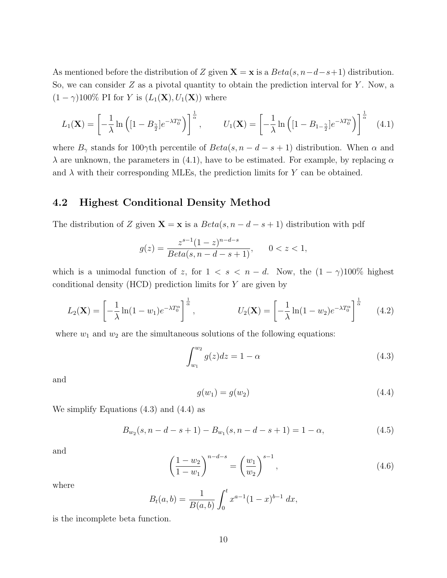As mentioned before the distribution of Z given  $\mathbf{X} = \mathbf{x}$  is a  $Beta(s, n-d-s+1)$  distribution. So, we can consider  $Z$  as a pivotal quantity to obtain the prediction interval for  $Y$ . Now, a  $(1 - \gamma)100\%$  PI for Y is  $(L_1(\mathbf{X}), U_1(\mathbf{X}))$  where

$$
L_1(\mathbf{X}) = \left[ -\frac{1}{\lambda} \ln \left( \left[ 1 - B_{\frac{\gamma}{2}} \right] e^{-\lambda T_0^{\alpha}} \right) \right]^{\frac{1}{\alpha}}, \qquad U_1(\mathbf{X}) = \left[ -\frac{1}{\lambda} \ln \left( \left[ 1 - B_{1-\frac{\gamma}{2}} \right] e^{-\lambda T_0^{\alpha}} \right) \right]^{\frac{1}{\alpha}} \quad (4.1)
$$

where  $B_{\gamma}$  stands for 100 $\gamma$ th percentile of  $Beta(s, n - d - s + 1)$  distribution. When  $\alpha$  and  $\lambda$  are unknown, the parameters in (4.1), have to be estimated. For example, by replacing  $\alpha$ and  $\lambda$  with their corresponding MLEs, the prediction limits for Y can be obtained.

#### 4.2 Highest Conditional Density Method

The distribution of Z given  $\mathbf{X} = \mathbf{x}$  is a  $Beta(s, n - d - s + 1)$  distribution with pdf

$$
g(z) = \frac{z^{s-1}(1-z)^{n-d-s}}{Beta(s, n-d-s+1)}, \qquad 0 < z < 1,
$$

which is a unimodal function of z, for  $1 < s < n - d$ . Now, the  $(1 - \gamma)100\%$  highest conditional density  $(HCD)$  prediction limits for  $Y$  are given by

$$
L_2(\mathbf{X}) = \left[ -\frac{1}{\lambda} \ln(1 - w_1) e^{-\lambda T_0^{\alpha}} \right]^{\frac{1}{\alpha}}, \qquad U_2(\mathbf{X}) = \left[ -\frac{1}{\lambda} \ln(1 - w_2) e^{-\lambda T_0^{\alpha}} \right]^{\frac{1}{\alpha}} \qquad (4.2)
$$

where  $w_1$  and  $w_2$  are the simultaneous solutions of the following equations:

$$
\int_{w_1}^{w_2} g(z)dz = 1 - \alpha \tag{4.3}
$$

and

$$
g(w_1) = g(w_2) \tag{4.4}
$$

We simplify Equations (4.3) and (4.4) as

$$
B_{w_2}(s, n-d-s+1) - B_{w_1}(s, n-d-s+1) = 1 - \alpha,
$$
\n(4.5)

and

$$
\left(\frac{1-w_2}{1-w_1}\right)^{n-d-s} = \left(\frac{w_1}{w_2}\right)^{s-1},\tag{4.6}
$$

where

$$
B_t(a,b) = \frac{1}{B(a,b)} \int_0^t x^{a-1} (1-x)^{b-1} dx,
$$

is the incomplete beta function.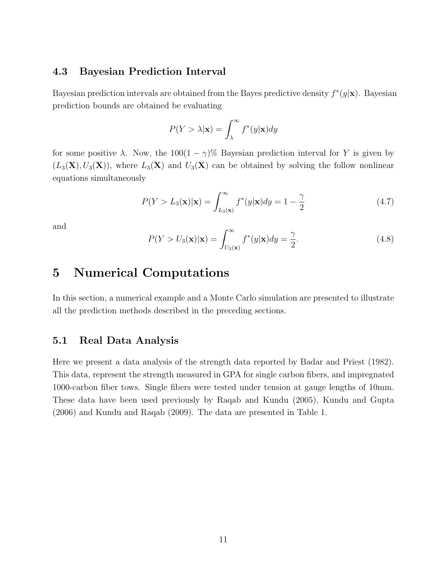### 4.3 Bayesian Prediction Interval

Bayesian prediction intervals are obtained from the Bayes predictive density  $f^*(y|\mathbf{x})$ . Bayesian prediction bounds are obtained be evaluating

$$
P(Y > \lambda | \mathbf{x}) = \int_{\lambda}^{\infty} f^*(y | \mathbf{x}) dy
$$

for some positive  $\lambda$ . Now, the 100(1 –  $\gamma$ )% Bayesian prediction interval for Y is given by  $(L_3(X), U_3(X))$ , where  $L_3(X)$  and  $U_3(X)$  can be obtained by solving the follow nonlinear equations simultaneously

$$
P(Y > L_3(\mathbf{x})|\mathbf{x}) = \int_{L_3(\mathbf{x})}^{\infty} f^*(y|\mathbf{x}) dy = 1 - \frac{\gamma}{2}
$$
\n(4.7)

and

$$
P(Y > U_3(\mathbf{x})|\mathbf{x}) = \int_{U_3(\mathbf{x})}^{\infty} f^*(y|\mathbf{x}) dy = \frac{\gamma}{2}.
$$
 (4.8)

## 5 Numerical Computations

In this section, a numerical example and a Monte Carlo simulation are presented to illustrate all the prediction methods described in the preceding sections.

### 5.1 Real Data Analysis

Here we present a data analysis of the strength data reported by Badar and Priest (1982). This data, represent the strength measured in GPA for single carbon fibers, and impregnated 1000-carbon fiber tows. Single fibers were tested under tension at gauge lengths of 10mm. These data have been used previously by Raqab and Kundu (2005), Kundu and Gupta (2006) and Kundu and Raqab (2009). The data are presented in Table 1.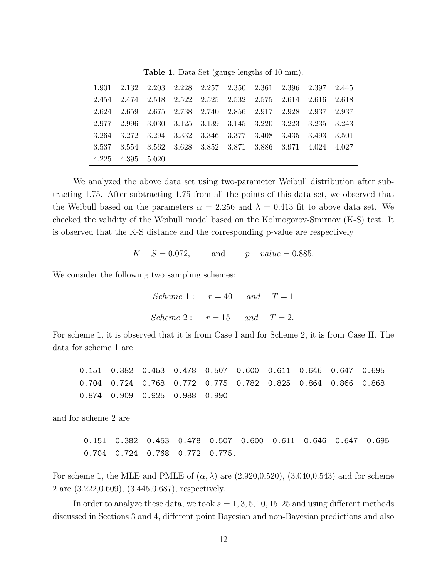|       |                   |  | $1.901$ $2.132$ $2.203$ $2.228$ $2.257$ $2.350$ $2.361$ $2.396$ $2.397$ $2.445$ |  |  |
|-------|-------------------|--|---------------------------------------------------------------------------------|--|--|
|       |                   |  | 2.454 2.474 2.518 2.522 2.525 2.532 2.575 2.614 2.616 2.618                     |  |  |
|       |                   |  | 2.624 2.659 2.675 2.738 2.740 2.856 2.917 2.928 2.937 2.937                     |  |  |
|       |                   |  | 2.977 2.996 3.030 3.125 3.139 3.145 3.220 3.223 3.235 3.243                     |  |  |
|       |                   |  | 3.264 3.272 3.294 3.332 3.346 3.377 3.408 3.435 3.493 3.501                     |  |  |
| 3.537 |                   |  | 3.554 3.562 3.628 3.852 3.871 3.886 3.971 4.024 4.027                           |  |  |
|       | 4.225 4.395 5.020 |  |                                                                                 |  |  |

Table 1. Data Set (gauge lengths of 10 mm).

We analyzed the above data set using two-parameter Weibull distribution after subtracting 1.75. After subtracting 1.75 from all the points of this data set, we observed that the Weibull based on the parameters  $\alpha = 2.256$  and  $\lambda = 0.413$  fit to above data set. We checked the validity of the Weibull model based on the Kolmogorov-Smirnov (K-S) test. It is observed that the K-S distance and the corresponding p-value are respectively

 $K - S = 0.072$ , and  $p - value = 0.885$ .

We consider the following two sampling schemes:

Scheme 1:  $r = 40$  and  $T = 1$ Scheme 2:  $r = 15$  and  $T = 2$ .

For scheme 1, it is observed that it is from Case I and for Scheme 2, it is from Case II. The data for scheme 1 are

0.151 0.382 0.453 0.478 0.507 0.600 0.611 0.646 0.647 0.695 0.704 0.724 0.768 0.772 0.775 0.782 0.825 0.864 0.866 0.868 0.874 0.909 0.925 0.988 0.990

and for scheme 2 are

0.151 0.382 0.453 0.478 0.507 0.600 0.611 0.646 0.647 0.695 0.704 0.724 0.768 0.772 0.775.

For scheme 1, the MLE and PMLE of  $(\alpha, \lambda)$  are  $(2.920, 0.520)$ ,  $(3.040, 0.543)$  and for scheme 2 are (3.222,0.609), (3.445,0.687), respectively.

In order to analyze these data, we took  $s = 1, 3, 5, 10, 15, 25$  and using different methods discussed in Sections 3 and 4, different point Bayesian and non-Bayesian predictions and also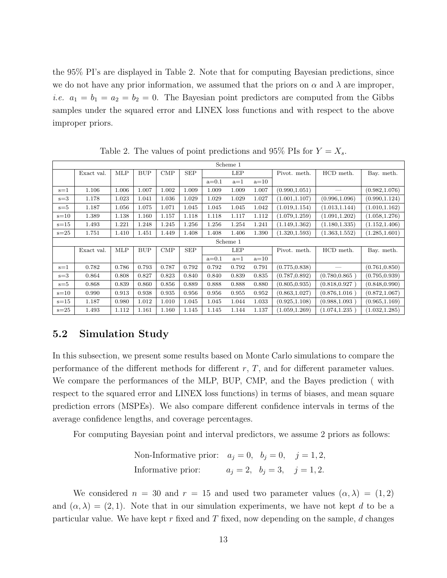the 95% PI's are displayed in Table 2. Note that for computing Bayesian predictions, since we do not have any prior information, we assumed that the priors on  $\alpha$  and  $\lambda$  are improper, *i.e.*  $a_1 = b_1 = a_2 = b_2 = 0$ . The Bayesian point predictors are computed from the Gibbs samples under the squared error and LINEX loss functions and with respect to the above improper priors.

|          |            |            |            |              |            |         | Scheme 1 |        |                |                |                |
|----------|------------|------------|------------|--------------|------------|---------|----------|--------|----------------|----------------|----------------|
|          | Exact val. | <b>MLP</b> | <b>BUP</b> | $\text{CMP}$ | <b>SEP</b> |         | LEP      |        | Pivot. meth.   | HCD meth.      | Bay. meth.     |
|          |            |            |            |              |            | $a=0.1$ | $a=1$    | $a=10$ |                |                |                |
| $s = 1$  | 1.106      | 1.006      | 1.007      | 1.002        | 1.009      | 1.009   | 1.009    | 1.007  | (0.990, 1.051) |                | (0.982, 1.076) |
| $s = 3$  | 1.178      | 1.023      | 1.041      | 1.036        | 1.029      | 1.029   | 1.029    | 1.027  | (1.001, 1.107) | (0.996, 1.096) | (0.990, 1.124) |
| $s = 5$  | 1.187      | 1.056      | 1.075      | 1.071        | 1.045      | 1.045   | 1.045    | 1.042  | (1.019, 1.154) | (1.013, 1.144) | (1.010, 1.162) |
| $s=10$   | 1.389      | 1.138      | 1.160      | 1.157        | 1.118      | 1.118   | 1.117    | 1.112  | (1.079, 1.259) | (1.091, 1.202) | (1.058, 1.276) |
| $s = 15$ | 1.493      | 1.221      | 1.248      | 1.245        | 1.256      | 1.256   | 1.254    | 1.241  | (1.149, 1.362) | (1.180, 1.335) | (1.152, 1.406) |
| $s=25$   | 1.751      | 1.410      | 1.451      | 1.449        | 1.408      | 1.408   | 1.406    | 1.390  | (1.320, 1.593) | (1.363, 1.552) | (1.285, 1.601) |
|          |            |            |            |              |            |         | Scheme 1 |        |                |                |                |
|          | Exact val. | MLP        | <b>BUP</b> | $\text{CMP}$ | <b>SEP</b> |         | LEP      |        | Pivot. meth.   | HCD meth.      | Bay. meth.     |
|          |            |            |            |              |            | $a=0.1$ | $a=1$    | $a=10$ |                |                |                |
| $s = 1$  | 0.782      | 0.786      | 0.793      | 0.787        | 0.792      | 0.792   | 0.792    | 0.791  | (0.775, 0.838) |                | (0.761, 0.850) |
| $s=3$    | 0.864      | 0.808      | 0.827      | 0.823        | 0.840      | 0.840   | 0.839    | 0.835  | (0.787, 0.892) | (0.780, 0.865) | (0.795, 0.939) |
| $s = 5$  | 0.868      | 0.839      | 0.860      | 0.856        | 0.889      | 0.888   | 0.888    | 0.880  | (0.805, 0.935) | (0.818, 0.927) | (0.848, 0.990) |
| $s = 10$ | 0.990      | 0.913      | 0.938      | 0.935        | 0.956      | 0.956   | 0.955    | 0.952  | (0.863, 1.027) | (0.876, 1.016) | (0.872, 1.067) |
| $s=15$   | 1.187      | 0.980      | 1.012      | 1.010        | 1.045      | 1.045   | 1.044    | 1.033  | (0.925, 1.108) | (0.988, 1.093) | (0.965, 1.169) |
| $s=25$   | 1.493      | 1.112      | 1.161      | 1.160        | 1.145      | 1.145   | 1.144    | 1.137  | (1.059, 1.269) | (1.074, 1.235) | (1.032, 1.285) |

Table 2. The values of point predictions and 95% PIs for  $Y = X_s$ .

## 5.2 Simulation Study

In this subsection, we present some results based on Monte Carlo simulations to compare the performance of the different methods for different  $r, T$ , and for different parameter values. We compare the performances of the MLP, BUP, CMP, and the Bayes prediction ( with respect to the squared error and LINEX loss functions) in terms of biases, and mean square prediction errors (MSPEs). We also compare different confidence intervals in terms of the average confidence lengths, and coverage percentages.

For computing Bayesian point and interval predictors, we assume 2 priors as follows:

Non-Informative prior: 
$$
a_j = 0
$$
,  $b_j = 0$ ,  $j = 1, 2$ ,  
Informative prior:  $a_j = 2$ ,  $b_j = 3$ ,  $j = 1, 2$ .

We considered  $n = 30$  and  $r = 15$  and used two parameter values  $(\alpha, \lambda) = (1, 2)$ and  $(\alpha, \lambda) = (2, 1)$ . Note that in our simulation experiments, we have not kept d to be a particular value. We have kept r fixed and T fixed, now depending on the sample,  $d$  changes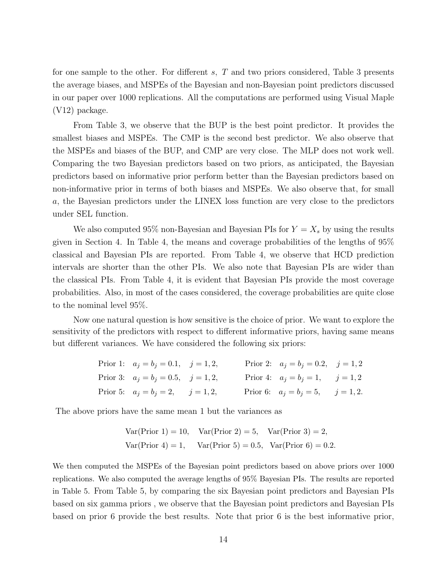for one sample to the other. For different  $s$ ,  $T$  and two priors considered, Table 3 presents the average biases, and MSPEs of the Bayesian and non-Bayesian point predictors discussed in our paper over 1000 replications. All the computations are performed using Visual Maple (V12) package.

From Table 3, we observe that the BUP is the best point predictor. It provides the smallest biases and MSPEs. The CMP is the second best predictor. We also observe that the MSPEs and biases of the BUP, and CMP are very close. The MLP does not work well. Comparing the two Bayesian predictors based on two priors, as anticipated, the Bayesian predictors based on informative prior perform better than the Bayesian predictors based on non-informative prior in terms of both biases and MSPEs. We also observe that, for small a, the Bayesian predictors under the LINEX loss function are very close to the predictors under SEL function.

We also computed 95% non-Bayesian and Bayesian PIs for  $Y = X_s$  by using the results given in Section 4. In Table 4, the means and coverage probabilities of the lengths of 95% classical and Bayesian PIs are reported. From Table 4, we observe that HCD prediction intervals are shorter than the other PIs. We also note that Bayesian PIs are wider than the classical PIs. From Table 4, it is evident that Bayesian PIs provide the most coverage probabilities. Also, in most of the cases considered, the coverage probabilities are quite close to the nominal level 95%.

Now one natural question is how sensitive is the choice of prior. We want to explore the sensitivity of the predictors with respect to different informative priors, having same means but different variances. We have considered the following six priors:

| Prior 1: $a_j = b_j = 0.1, j = 1, 2,$       |  | Prior 2: $a_j = b_j = 0.2, j = 1, 2$     |  |
|---------------------------------------------|--|------------------------------------------|--|
| Prior 3: $a_j = b_j = 0.5, \quad j = 1, 2,$ |  | Prior 4: $a_j = b_j = 1, \quad j = 1, 2$ |  |
| Prior 5: $a_j = b_j = 2, \quad j = 1, 2,$   |  | Prior 6: $a_j = b_j = 5$ , $j = 1, 2$ .  |  |

The above priors have the same mean 1 but the variances as

Var(Prior 1) = 10, Var(Prior 2) = 5, Var(Prior 3) = 2, Var(Prior 4) = 1, Var(Prior 5) = 0.5, Var(Prior 6) = 0.2.

We then computed the MSPEs of the Bayesian point predictors based on above priors over 1000 replications. We also computed the average lengths of 95% Bayesian PIs. The results are reported in Table 5. From Table 5, by comparing the six Bayesian point predictors and Bayesian PIs based on six gamma priors , we observe that the Bayesian point predictors and Bayesian PIs based on prior 6 provide the best results. Note that prior 6 is the best informative prior,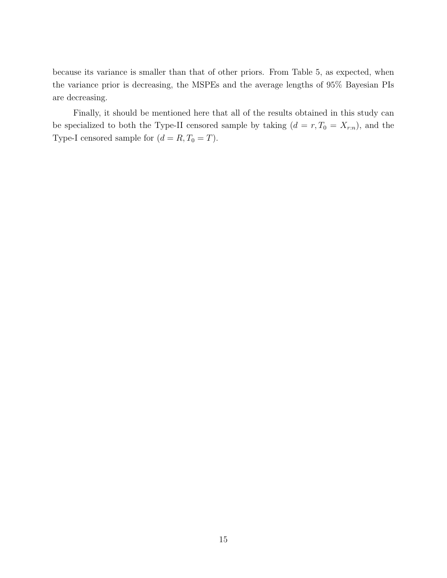because its variance is smaller than that of other priors. From Table 5, as expected, when the variance prior is decreasing, the MSPEs and the average lengths of 95% Bayesian PIs are decreasing.

Finally, it should be mentioned here that all of the results obtained in this study can be specialized to both the Type-II censored sample by taking  $(d = r, T_0 = X_{r:n})$ , and the Type-I censored sample for  $(d = R, T_0 = T)$ .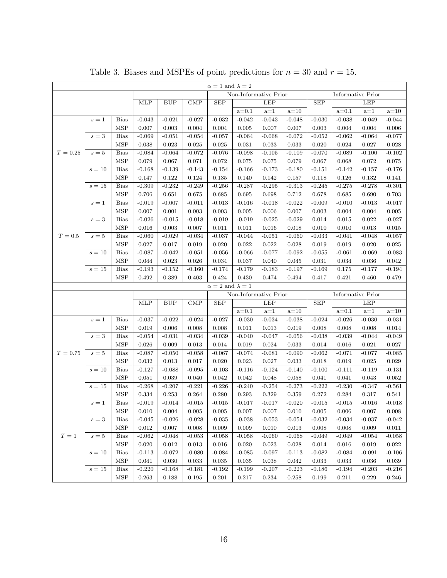| $\alpha = 1$ and $\lambda = 2$ |              |             |          |                       |              |                            |           |                       |          |                          |           |                          |          |
|--------------------------------|--------------|-------------|----------|-----------------------|--------------|----------------------------|-----------|-----------------------|----------|--------------------------|-----------|--------------------------|----------|
|                                |              |             |          |                       |              |                            |           | Non-Informative Prior |          | <b>Informative Prior</b> |           |                          |          |
|                                |              |             | MLP      | <b>BUP</b>            | $\text{CMP}$ | <b>SEP</b>                 |           | <b>LEP</b>            |          | <b>SEP</b>               |           | <b>LEP</b>               |          |
|                                |              |             |          |                       |              |                            | $a = 0.1$ | $a=1$                 | $a=10$   |                          | $a=0.1$   | $a=1$                    | $a=10$   |
|                                | $s=1$        | <b>Bias</b> | $-0.043$ | $-0.021$              | $-0.027$     | $-0.032$                   | $-0.042$  | $-0.043$              | $-0.048$ | $-0.030$                 | $-0.038$  | $-0.049$                 | $-0.044$ |
|                                |              | <b>MSP</b>  | 0.007    | 0.003                 | 0.004        | 0.004                      | 0.005     | 0.007                 | 0.007    | 0.003                    | 0.004     | 0.004                    | 0.006    |
|                                | $\sqrt{s}=3$ | <b>Bias</b> | $-0.069$ | $-0.051$              | $-0.054$     | $-0.057$                   | $-0.064$  | $-0.068$              | $-0.072$ | $-0.052$                 | $-0.062$  | $-0.064$                 | $-0.077$ |
|                                |              | <b>MSP</b>  | 0.038    | 0.023                 | 0.025        | 0.025                      | 0.031     | 0.033                 | 0.033    | 0.020                    | 0.024     | 0.027                    | 0.028    |
| $T = 0.25$                     | $s=5$        | <b>Bias</b> | $-0.084$ | $-0.064$              | $-0.072$     | $-0.076$                   | $-0.098$  | $-0.105$              | $-0.109$ | $-0.070$                 | $-0.089$  | $-0.100$                 | $-0.102$ |
|                                |              | <b>MSP</b>  | 0.079    | 0.067                 | 0.071        | 0.072                      | 0.075     | 0.075                 | 0.079    | 0.067                    | 0.068     | 0.072                    | 0.075    |
|                                | $s=10$       | <b>Bias</b> | $-0.168$ | $-0.139$              | $-0.143$     | $-0.154$                   | $-0.166$  | $-0.173$              | $-0.180$ | $-0.151$                 | $-0.142$  | $-0.157$                 | $-0.176$ |
|                                |              | <b>MSP</b>  | 0.147    | 0.122                 | 0.124        | 0.135                      | 0.140     | 0.142                 | 0.157    | 0.118                    | 0.126     | 0.132                    | 0.141    |
|                                | $s=15$       | <b>Bias</b> | $-0.309$ | $-0.232$              | $-0.249$     | $-0.256$                   | $-0.287$  | $-0.295$              | $-0.313$ | $-0.245$                 | $-0.275$  | $-0.278$                 | $-0.301$ |
|                                |              | <b>MSP</b>  | 0.706    | 0.651                 | 0.675        | 0.685                      | 0.695     | 0.698                 | 0.712    | 0.678                    | 0.685     | 0.690                    | 0.703    |
|                                | $s=1$        | <b>Bias</b> | $-0.019$ | $-0.007$              | $-0.011$     | $-0.013$                   | $-0.016$  | $-0.018$              | $-0.022$ | $-0.009$                 | $-0.010$  | $-0.013$                 | $-0.017$ |
|                                |              | <b>MSP</b>  | 0.007    | 0.001                 | 0.003        | 0.003                      | 0.005     | 0.006                 | 0.007    | 0.003                    | 0.004     | 0.004                    | 0.005    |
|                                | $s=3$        | <b>Bias</b> | $-0.026$ | $-0.015$              | $-0.018$     | $-0.019$                   | $-0.019$  | $-0.025$              | $-0.029$ | 0.014                    | 0.015     | 0.022                    | $-0.027$ |
|                                |              | <b>MSP</b>  | 0.016    | 0.003                 | 0.007        | 0.011                      | 0.011     | 0.016                 | 0.018    | 0.010                    | 0.010     | 0.013                    | 0.015    |
| $T=0.5$                        | $s=5$        | <b>Bias</b> | $-0.060$ | $-0.029$              | $-0.034$     | $-0.037$                   | $-0.044$  | $-0.051$              | $-0.060$ | $-0.033$                 | $-0.041$  | $-0.048$                 | $-0.057$ |
|                                |              | <b>MSP</b>  | 0.027    | 0.017                 | 0.019        | 0.020                      | 0.022     | 0.022                 | 0.028    | 0.019                    | 0.019     | 0.020                    | 0.025    |
|                                | $s=10$       | <b>Bias</b> | $-0.087$ | $-0.042$              | $-0.051$     | $-0.056$                   | $-0.066$  | $-0.077$              | $-0.092$ | $-0.055$                 | $-0.061$  | $-0.069$                 | $-0.083$ |
|                                |              | <b>MSP</b>  | 0.044    | 0.023                 | 0.026        | 0.034                      | 0.037     | 0.040                 | 0.045    | 0.031                    | 0.034     | 0.036                    | 0.042    |
|                                | $s=15$       | <b>Bias</b> | $-0.193$ | $-0.152$              | $-0.160$     | $-0.174$                   | $-0.179$  | $-0.183$              | $-0.197$ | $-0.169$                 | 0.175     | $-0.177$                 | $-0.194$ |
|                                |              | <b>MSP</b>  | 0.492    | 0.389                 | 0.403        | 0.424                      | 0.430     | 0.474                 | 0.494    | 0.417                    | 0.421     | 0.460                    | 0.479    |
|                                |              |             |          |                       |              | $\alpha=2$ and $\lambda=1$ |           |                       |          |                          |           |                          |          |
|                                |              |             |          | Non-Informative Prior |              |                            |           |                       |          |                          |           | <b>Informative Prior</b> |          |
|                                |              |             | MLP      | <b>BUP</b>            | $\text{CMP}$ | <b>SEP</b>                 |           | <b>LEP</b>            |          | <b>SEP</b>               |           | LEP                      |          |
|                                |              |             |          |                       |              |                            | $a=0.1$   | $a=1$                 | $a=10$   |                          | $a=0.1$   | $a=1$                    | $a=10$   |
|                                | $s=1$        | <b>Bias</b> | $-0.037$ | $-0.022$              | $-0.024$     | $-0.027$                   | $-0.030$  | $-0.034$              | $-0.038$ | $-0.024$                 | $-0.026$  | $-0.030$                 | $-0.031$ |
|                                |              | <b>MSP</b>  | 0.019    | 0.006                 | 0.008        | 0.008                      | 0.011     | 0.013                 | 0.019    | 0.008                    | 0.008     | 0.008                    | 0.014    |
|                                | $s=3$        | <b>Bias</b> | $-0.054$ | $-0.031$              | $-0.034$     | $-0.039$                   | $-0.040$  | $-0.047$              | $-0.056$ | $-0.038$                 | $-0.039$  | $-0.044$                 | $-0.049$ |
|                                |              | <b>MSP</b>  | 0.026    | 0.009                 | 0.013        | 0.014                      | 0.019     | 0.024                 | 0.033    | 0.014                    | 0.016     | 0.021                    | 0.027    |
| $T = 0.75$                     | $s=5$        | <b>Bias</b> | $-0.087$ | $-0.050$              | $-0.058$     | $-0.067$                   | $-0.074$  | $-0.081$              | $-0.090$ | $-0.062$                 | $-0.071$  | $-0.077$                 | $-0.085$ |
|                                |              | <b>MSP</b>  | 0.032    | 0.013                 | 0.017        | 0.020                      | 0.023     | 0.027                 | 0.033    | 0.018                    | 0.019     | 0.025                    | 0.029    |
|                                | $s=10$       | <b>Bias</b> | $-0.127$ | $-0.088$              | $-0.095$     | $-0.103$                   | $-0.116$  | $-0.124$              | $-0.140$ | $-0.100$                 | $-0.111$  | $-0.119$                 | $-0.131$ |
|                                |              | <b>MSP</b>  | 0.051    | 0.039                 | 0.040        | 0.042                      | 0.042     | 0.048                 | 0.058    | 0.041                    | 0.041     | 0.043                    | 0.052    |
|                                | $s=15$       | <b>Bias</b> | $-0.268$ | $-0.207$              | $-0.221$     | $-0.226$                   | $-0.240$  | $-0.254$              | $-0.273$ | $-0.222$                 | $-0.230$  | $-0.347$                 | $-0.561$ |
|                                |              | MSP         | 0.334    | 0.253                 | 0.264        | 0.280                      | 0.293     | 0.329                 | 0.359    | 0.272                    | 0.284     | 0.317                    | 0.541    |
|                                | $s=1$        | <b>Bias</b> | $-0.019$ | $-0.014$              | $-0.015$     | $-0.015$                   | $-0.017$  | $-0.017$              | $-0.020$ | $-0.015$                 | $-0.015$  | $-0.016$                 | $-0.018$ |
|                                |              | <b>MSP</b>  | 0.010    | 0.004                 | 0.005        | 0.005                      | 0.007     | 0.007                 | 0.010    | 0.005                    | $0.006\,$ | 0.007                    | 0.008    |
|                                | $s=3$        | Bias        | $-0.045$ | $-0.026$              | $-0.028$     | $-0.035$                   | $-0.038$  | $-0.053$              | $-0.054$ | $-0.032$                 | $-0.034$  | $-0.037$                 | $-0.042$ |
|                                |              | <b>MSP</b>  | 0.012    | 0.007                 | 0.008        | 0.009                      | 0.009     | 0.010                 | 0.013    | 0.008                    | 0.008     | 0.009                    | 0.011    |
| $T=1$                          | $s=5$        | <b>Bias</b> | $-0.062$ | $-0.048$              | $-0.053$     | $-0.058$                   | $-0.058$  | $-0.060$              | $-0.068$ | $-0.049$                 | $-0.049$  | $-0.054$                 | $-0.058$ |
|                                |              | <b>MSP</b>  | 0.020    | 0.012                 | 0.013        | 0.016                      | 0.020     | 0.023                 | 0.028    | 0.014                    | 0.016     | 0.019                    | 0.022    |
|                                | $s=10$       | <b>Bias</b> | $-0.113$ | $-0.072$              | $-0.080$     | $-0.084$                   | $-0.085$  | $-0.097$              | $-0.113$ | $-0.082$                 | $-0.084$  | $-0.091$                 | $-0.106$ |
|                                |              | <b>MSP</b>  | 0.041    | 0.030                 | 0.033        | 0.035                      | 0.035     | 0.038                 | 0.042    | 0.033                    | 0.033     | 0.036                    | 0.039    |
|                                | $s=15$       | Bias        | $-0.220$ | $-0.168$              | $-0.181$     | $-0.192$                   | $-0.199$  | $-0.207$              | $-0.223$ | $-0.186$                 | $-0.194$  | $-0.203$                 | $-0.216$ |
|                                |              | <b>MSP</b>  | 0.263    | 0.188                 | 0.195        | 0.201                      | 0.217     | 0.234                 | 0.258    | 0.199                    | 0.211     | 0.229                    | 0.246    |

Table 3. Biases and MSPEs of point predictions for  $n = 30$  and  $r = 15$ .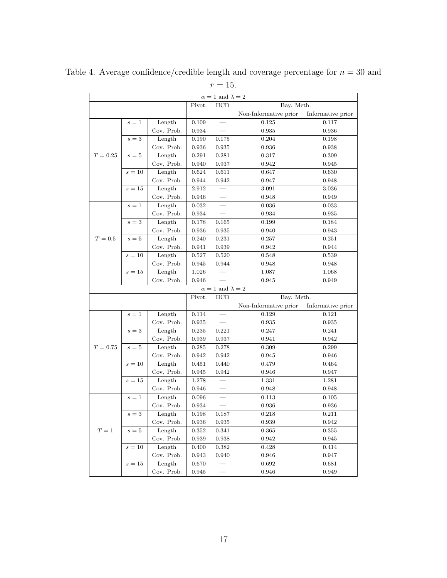|            |                 |                      |                | $\alpha = 1$ and $\lambda = 2$        |                       |                   |
|------------|-----------------|----------------------|----------------|---------------------------------------|-----------------------|-------------------|
|            |                 |                      | Pivot.         | HCD                                   | Bay. Meth.            |                   |
|            |                 |                      |                |                                       | Non-Informative prior | Informative prior |
|            | $s=1$           | Length               | 0.109          |                                       | 0.125                 | 0.117             |
|            |                 | Cov. Prob.           | 0.934          | $\overline{\phantom{0}}$              | 0.935                 | 0.936             |
|            | $s=3$           | Length               | 0.190          | 0.175                                 | 0.204                 | 0.198             |
|            |                 | Cov. Prob.           | 0.936          | 0.935                                 | 0.936                 | 0.938             |
| $T = 0.25$ | $s=5$           | Length               | 0.291          | 0.281                                 | 0.317                 | 0.309             |
|            |                 | Cov. Prob.           | 0.940          | 0.937                                 | 0.942                 | 0.945             |
|            | $s=10$          | Length               | 0.624          | 0.611                                 | 0.647                 | 0.630             |
|            |                 | Cov. Prob.           | $\,0.944\,$    | 0.942                                 | 0.947                 | 0.948             |
|            | $s=15$          | Length               | 2.912          |                                       | 3.091                 | 3.036             |
|            |                 | Cov. Prob.           | 0.946          | $\overline{\phantom{0}}$              | 0.948                 | 0.949             |
|            | $s=1$           | Length               | 0.032          | $\frac{1}{2}$                         | 0.036                 | 0.033             |
|            |                 | Cov. Prob.           | 0.934          |                                       | 0.934                 | 0.935             |
|            | $s=3$           | Length               | 0.178          | 0.165                                 | 0.199                 | 0.184             |
|            |                 | Cov. Prob.           | 0.936          | 0.935                                 | 0.940                 | 0.943             |
| $T=0.5$    | $s=5$           | Length               | 0.240          | 0.231                                 | 0.257                 | 0.251             |
|            |                 | Cov. Prob.           | 0.941          | 0.939                                 | 0.942                 | 0.944             |
|            | $s=10$          | Length               | 0.527          | 0.520                                 | 0.548                 | 0.539             |
|            |                 | Cov. Prob.           | $\,0.945\,$    | 0.944                                 | 0.948                 | 0.948             |
|            | $s=15$          | Length               | 1.026          |                                       | 1.087                 | 1.068             |
|            |                 | Cov. Prob.           | 0.946          |                                       | 0.945                 | 0.949             |
|            |                 |                      |                |                                       |                       |                   |
|            |                 |                      | Pivot.         | $\alpha = 1$ and $\lambda = 2$<br>HCD | Bay. Meth.            |                   |
|            |                 |                      |                |                                       | Non-Informative prior | Informative prior |
|            | $s=1$           | Length               | 0.114          | $\qquad \qquad$                       | 0.129                 | 0.121             |
|            |                 | Cov. Prob.           | 0.935          |                                       | 0.935                 | 0.935             |
|            | $s=3$           | Length               | $\,0.235\,$    | 0.221                                 | 0.247                 | 0.241             |
|            |                 | Cov. Prob.           | 0.939          | 0.937                                 | 0.941                 | 0.942             |
| $T = 0.75$ | $s=5$           | Length               |                |                                       |                       |                   |
|            |                 | Cov. Prob.           | 0.285          | 0.278                                 | 0.309                 | 0.299             |
|            | $s=10$          | Length               | 0.942<br>0.451 | 0.942                                 | 0.945                 | 0.946             |
|            |                 | Cov. Prob.           |                | 0.440                                 | 0.479                 | 0.464             |
|            |                 |                      |                |                                       |                       |                   |
|            |                 |                      | 0.945          | 0.942                                 | 0.946                 | 0.947             |
|            | $s=15$          | Length               | 1.278          |                                       | 1.331                 | 1.281             |
|            |                 | Cov. Prob.           | 0.946          |                                       | 0.948                 | 0.948             |
|            | $s=1$           | Length               | 0.096          | $\overline{\phantom{m}}$              | 0.113                 | 0.105             |
|            |                 | Cov. Prob.           | 0.934          |                                       | 0.936                 | 0.936             |
|            | $\sqrt{s} = 3$  | Length               | 0.198          | 0.187                                 | 0.218                 | 0.211             |
|            |                 | Cov. Prob.           | 0.936          | 0.935                                 | 0.939                 | 0.942             |
| $T=1$      | $s=5$           | Length               | 0.352          | 0.341                                 | 0.365                 | 0.355             |
|            |                 | Cov. Prob.           | 0.939          | 0.938                                 | 0.942                 | 0.945             |
|            | $s=10$          | Length               | 0.400          | 0.382                                 | 0.428                 | 0.414             |
|            |                 | Cov. Prob.           | 0.943          | 0.940                                 | 0.946                 | 0.947             |
|            | $\sqrt{s} = 15$ | Length<br>Cov. Prob. | 0.670          |                                       | 0.692<br>0.946        | 0.681<br>0.949    |

Table 4. Average confidence/credible length and coverage percentage for  $n = 30$  and

## $r = 15$ .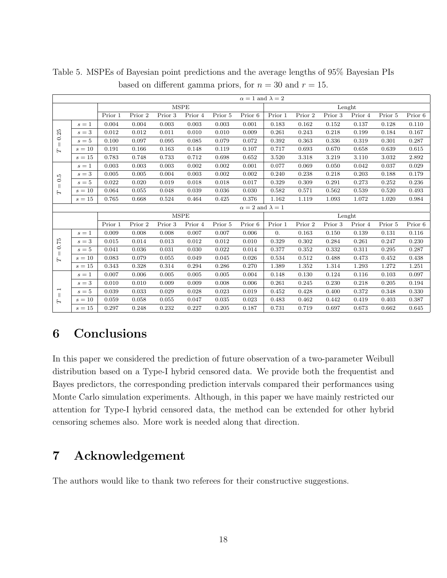|                                                                   | $\alpha = 1$ and $\lambda = 2$ |             |         |         |             |         |                            |                  |         |         |         |         |         |  |  |
|-------------------------------------------------------------------|--------------------------------|-------------|---------|---------|-------------|---------|----------------------------|------------------|---------|---------|---------|---------|---------|--|--|
|                                                                   |                                |             |         |         | <b>MSPE</b> |         |                            | Lenght           |         |         |         |         |         |  |  |
|                                                                   |                                | Prior 1     | Prior 2 | Prior 3 | Prior 4     | Prior 5 | Prior 6                    | Prior 1          | Prior 2 | Prior 3 | Prior 4 | Prior 5 | Prior 6 |  |  |
|                                                                   | $s=1$                          | 0.004       | 0.004   | 0.003   | 0.003       | 0.003   | 0.001                      | 0.183            | 0.162   | 0.152   | 0.137   | 0.128   | 0.110   |  |  |
| 0.25                                                              | $s=3$                          | 0.012       | 0.012   | 0.011   | 0.010       | 0.010   | 0.009                      | 0.261            | 0.243   | 0.218   | 0.199   | 0.184   | 0.167   |  |  |
| $\vert\vert$                                                      | $s=5$                          | 0.100       | 0.097   | 0.095   | 0.085       | 0.079   | 0.072                      | 0.392            | 0.363   | 0.336   | 0.319   | 0.301   | 0.287   |  |  |
| $\mathsf{H}$                                                      | $s=10$                         | 0.191       | 0.166   | 0.163   | 0.148       | 0.119   | 0.107                      | 0.717            | 0.693   | 0.670   | 0.658   | 0.639   | 0.615   |  |  |
|                                                                   | $s=15$                         | 0.783       | 0.748   | 0.733   | 0.712       | 0.698   | 0.652                      | 3.520            | 3.318   | 3.219   | 3.110   | 3.032   | 2.892   |  |  |
|                                                                   | $s=1$                          | 0.003       | 0.003   | 0.003   | 0.002       | 0.002   | 0.001                      | 0.077            | 0.069   | 0.050   | 0.042   | 0.037   | 0.029   |  |  |
| $0.\overline{5}$                                                  | $\sqrt{s}=3$                   | 0.005       | 0.005   | 0.004   | 0.003       | 0.002   | 0.002                      | 0.240            | 0.238   | 0.218   | 0.203   | 0.188   | 0.179   |  |  |
| $\parallel$                                                       | $s=5$                          | 0.022       | 0.020   | 0.019   | 0.018       | 0.018   | 0.017                      | 0.329            | 0.309   | 0.291   | 0.273   | 0.252   | 0.236   |  |  |
| $\overline{L}$                                                    | $s=10$                         | 0.064       | 0.055   | 0.048   | 0.039       | 0.036   | 0.030                      | 0.582            | 0.571   | 0.562   | 0.539   | 0.520   | 0.493   |  |  |
|                                                                   | $s=15$                         | 0.765       | 0.668   | 0.524   | 0.464       | 0.425   | 0.376                      | 1.162            | 1.119   | 1.093   | 1.072   | 1.020   | 0.984   |  |  |
|                                                                   |                                |             |         |         |             |         | $\alpha=2$ and $\lambda=1$ |                  |         |         |         |         |         |  |  |
|                                                                   |                                | <b>MSPE</b> |         |         |             |         |                            |                  | Lenght  |         |         |         |         |  |  |
|                                                                   |                                | Prior 1     | Prior 2 | Prior 3 | Prior 4     | Prior 5 | Prior 6                    | Prior 1          | Prior 2 | Prior 3 | Prior 4 | Prior 5 | Prior 6 |  |  |
|                                                                   | $s=1$                          | 0.009       | 0.008   | 0.008   | 0.007       | 0.007   | 0.006                      | $\overline{0}$ . | 0.163   | 0.150   | 0.139   | 0.131   | 0.116   |  |  |
| 0.75                                                              | $s=3$                          | 0.015       | 0.014   | 0.013   | 0.012       | 0.012   | 0.010                      | 0.329            | 0.302   | 0.284   | 0.261   | 0.247   | 0.230   |  |  |
| $\parallel$                                                       | $s=5$                          | 0.041       | 0.036   | 0.031   | 0.030       | 0.022   | 0.014                      | 0.377            | 0.352   | 0.332   | 0.311   | 0.295   | 0.287   |  |  |
| Н                                                                 | $s=10$                         | 0.083       | 0.079   | 0.055   | 0.049       | 0.045   | 0.026                      | 0.534            | 0.512   | 0.488   | 0.473   | 0.452   | 0.438   |  |  |
|                                                                   | $s=15$                         | 0.343       | 0.328   | 0.314   | 0.294       | 0.286   | 0.270                      | 1.389            | 1.352   | 1.314   | 1.293   | 1.272   | 1.251   |  |  |
|                                                                   | $s=1$                          | 0.007       | 0.006   | 0.005   | 0.005       | 0.005   | 0.004                      | 0.148            | 0.130   | 0.124   | 0.116   | 0.103   | 0.097   |  |  |
|                                                                   | $s=3$                          | 0.010       | 0.010   | 0.009   | 0.009       | 0.008   | 0.006                      | 0.261            | 0.245   | 0.230   | 0.218   | 0.205   | 0.194   |  |  |
| $\overline{\phantom{0}}$<br>$\begin{array}{c} \hline \end{array}$ | $s=5$                          | 0.039       | 0.033   | 0.029   | 0.028       | 0.023   | 0.019                      | 0.452            | 0.428   | 0.400   | 0.372   | 0.348   | 0.330   |  |  |
| $\mathsf{H}$                                                      | $s=10$                         | 0.059       | 0.058   | 0.055   | 0.047       | 0.035   | 0.023                      | 0.483            | 0.462   | 0.442   | 0.419   | 0.403   | 0.387   |  |  |
|                                                                   | $s=15$                         | 0.297       | 0.248   | 0.232   | 0.227       | 0.205   | 0.187                      | 0.731            | 0.719   | 0.697   | 0.673   | 0.662   | 0.645   |  |  |

Table 5. MSPEs of Bayesian point predictions and the average lengths of 95% Bayesian PIs based on different gamma priors, for  $n = 30$  and  $r = 15$ .

# 6 Conclusions

In this paper we considered the prediction of future observation of a two-parameter Weibull distribution based on a Type-I hybrid censored data. We provide both the frequentist and Bayes predictors, the corresponding prediction intervals compared their performances using Monte Carlo simulation experiments. Although, in this paper we have mainly restricted our attention for Type-I hybrid censored data, the method can be extended for other hybrid censoring schemes also. More work is needed along that direction.

# 7 Acknowledgement

The authors would like to thank two referees for their constructive suggestions.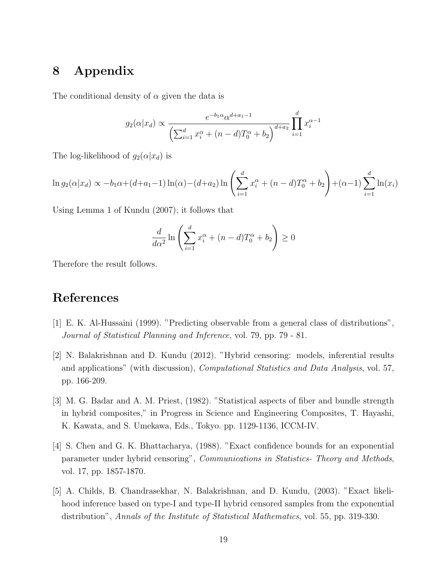# 8 Appendix

The conditional density of  $\alpha$  given the data is

$$
g_2(\alpha|x_d) \propto \frac{e^{-b_1 \alpha} \alpha^{d+a_1-1}}{\left(\sum_{i=1}^d x_i^{\alpha} + (n-d)T_0^{\alpha} + b_2\right)^{d+a_2}} \prod_{i=1}^d x_i^{\alpha-1}
$$

The log-likelihood of  $g_2(\alpha|x_d)$  is

$$
\ln g_2(\alpha|x_d) \propto -b_1\alpha + (d+a_1-1)\ln(\alpha) - (d+a_2)\ln\left(\sum_{i=1}^d x_i^{\alpha} + (n-d)T_0^{\alpha} + b_2\right) + (\alpha-1)\sum_{i=1}^d \ln(x_i)
$$

Using Lemma 1 of Kundu (2007), it follows that

$$
\frac{d}{d\alpha^2} \ln \left( \sum_{i=1}^d x_i^{\alpha} + (n-d)T_0^{\alpha} + b_2 \right) \ge 0
$$

Therefore the result follows.

# References

- [1] E. K. Al-Hussaini (1999). "Predicting observable from a general class of distributions", Journal of Statistical Planning and Inference, vol. 79, pp. 79 - 81.
- [2] N. Balakrishnan and D. Kundu (2012). "Hybrid censoring: models, inferential results and applications" (with discussion), Computational Statistics and Data Analysis, vol. 57, pp. 166-209.
- [3] M. G. Badar and A. M. Priest, (1982). "Statistical aspects of fiber and bundle strength in hybrid composites," in Progress in Science and Engineering Composites, T. Hayashi, K. Kawata, and S. Umekawa, Eds., Tokyo. pp. 1129-1136, ICCM-IV.
- [4] S. Chen and G. K. Bhattacharya, (1988). "Exact confidence bounds for an exponential parameter under hybrid censoring", Communications in Statistics- Theory and Methods, vol. 17, pp. 1857-1870.
- [5] A. Childs, B. Chandrasekhar, N. Balakrishnan, and D. Kundu, (2003). "Exact likelihood inference based on type-I and type-II hybrid censored samples from the exponential distribution", Annals of the Institute of Statistical Mathematics, vol. 55, pp. 319-330.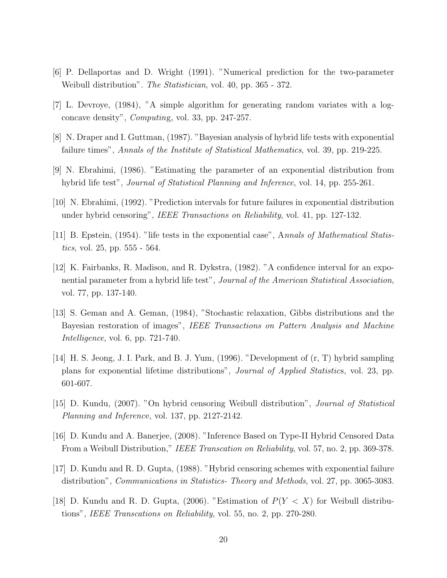- [6] P. Dellaportas and D. Wright (1991). "Numerical prediction for the two-parameter Weibull distribution". *The Statistician*, vol. 40, pp. 365 - 372.
- [7] L. Devroye, (1984), "A simple algorithm for generating random variates with a logconcave density", Computing, vol. 33, pp. 247-257.
- [8] N. Draper and I. Guttman, (1987). "Bayesian analysis of hybrid life tests with exponential failure times", Annals of the Institute of Statistical Mathematics, vol. 39, pp. 219-225.
- [9] N. Ebrahimi, (1986). "Estimating the parameter of an exponential distribution from hybrid life test", *Journal of Statistical Planning and Inference*, vol. 14, pp. 255-261.
- [10] N. Ebrahimi, (1992). "Prediction intervals for future failures in exponential distribution under hybrid censoring", IEEE Transactions on Reliability, vol. 41, pp. 127-132.
- [11] B. Epstein, (1954). "life tests in the exponential case", Annals of Mathematical Statistics, vol. 25, pp. 555 - 564.
- [12] K. Fairbanks, R. Madison, and R. Dykstra, (1982). "A confidence interval for an exponential parameter from a hybrid life test", Journal of the American Statistical Association, vol. 77, pp. 137-140.
- [13] S. Geman and A. Geman, (1984), "Stochastic relaxation, Gibbs distributions and the Bayesian restoration of images", IEEE Transactions on Pattern Analysis and Machine Intelligence, vol. 6, pp. 721-740.
- [14] H. S. Jeong, J. I. Park, and B. J. Yum, (1996). "Development of (r, T) hybrid sampling plans for exponential lifetime distributions", Journal of Applied Statistics, vol. 23, pp. 601-607.
- [15] D. Kundu, (2007). "On hybrid censoring Weibull distribution", Journal of Statistical Planning and Inference, vol. 137, pp. 2127-2142.
- [16] D. Kundu and A. Banerjee, (2008). "Inference Based on Type-II Hybrid Censored Data From a Weibull Distribution," IEEE Transcation on Reliability, vol. 57, no. 2, pp. 369-378.
- [17] D. Kundu and R. D. Gupta, (1988). "Hybrid censoring schemes with exponential failure distribution", *Communications in Statistics- Theory and Methods*, vol. 27, pp. 3065-3083.
- [18] D. Kundu and R. D. Gupta, (2006). "Estimation of  $P(Y < X)$  for Weibull distributions", IEEE Transcations on Reliability, vol. 55, no. 2, pp. 270-280.